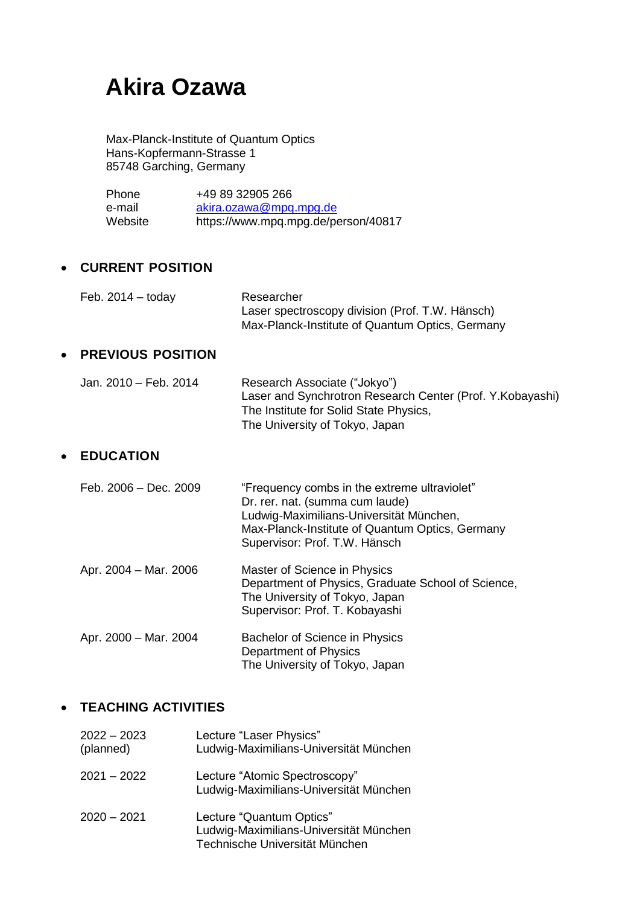# **Akira Ozawa**

Max-Planck-Institute of Quantum Optics Hans-Kopfermann-Strasse 1 85748 Garching, Germany

Phone +49 89 32905 266 e-mail [akira.ozawa@mpq.mpg.de](about:blank) Website https://www.mpq.mpg.de/person/40817

### • **CURRENT POSITION**

| Feb. $2014 -$ today | Researcher                                      |
|---------------------|-------------------------------------------------|
|                     | Laser spectroscopy division (Prof. T.W. Hänsch) |
|                     | Max-Planck-Institute of Quantum Optics, Germany |
|                     |                                                 |

### • **PREVIOUS POSITION**

Jan. 2010 – Feb. 2014 Research Associate ("Jokyo") Laser and Synchrotron Research Center (Prof. Y.Kobayashi) The Institute for Solid State Physics, The University of Tokyo, Japan

### • **EDUCATION**

| Feb. 2006 - Dec. 2009 | "Frequency combs in the extreme ultraviolet"<br>Dr. rer. nat. (summa cum laude)<br>Ludwig-Maximilians-Universität München,<br>Max-Planck-Institute of Quantum Optics, Germany<br>Supervisor: Prof. T.W. Hänsch |
|-----------------------|----------------------------------------------------------------------------------------------------------------------------------------------------------------------------------------------------------------|
| Apr. 2004 – Mar. 2006 | Master of Science in Physics<br>Department of Physics, Graduate School of Science,<br>The University of Tokyo, Japan<br>Supervisor: Prof. T. Kobayashi                                                         |
| Apr. 2000 - Mar. 2004 | Bachelor of Science in Physics<br>Department of Physics<br>The University of Tokyo, Japan                                                                                                                      |

### • **TEACHING ACTIVITIES**

| $2022 - 2023$<br>(planned) | Lecture "Laser Physics"<br>Ludwig-Maximilians-Universität München                                    |
|----------------------------|------------------------------------------------------------------------------------------------------|
| $2021 - 2022$              | Lecture "Atomic Spectroscopy"<br>Ludwig-Maximilians-Universität München                              |
| $2020 - 2021$              | Lecture "Quantum Optics"<br>Ludwig-Maximilians-Universität München<br>Technische Universität München |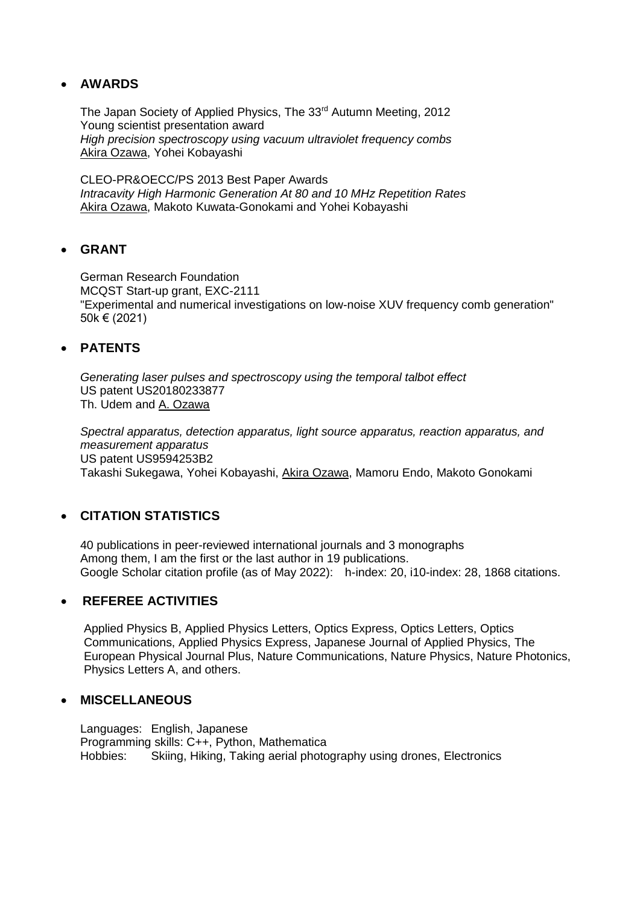### • **AWARDS**

The Japan Society of Applied Physics, The 33rd Autumn Meeting, 2012 Young scientist presentation award *High precision spectroscopy using vacuum ultraviolet frequency combs* Akira Ozawa, Yohei Kobayashi

CLEO-PR&OECC/PS 2013 Best Paper Awards *Intracavity High Harmonic Generation At 80 and 10 MHz Repetition Rates* Akira Ozawa, Makoto Kuwata-Gonokami and Yohei Kobayashi

### • **GRANT**

German Research Foundation MCQST Start-up grant, EXC-2111 "Experimental and numerical investigations on low-noise XUV frequency comb generation" 50k € (2021)

### • **PATENTS**

*Generating laser pulses and spectroscopy using the temporal talbot effect*  US patent US20180233877 Th. Udem and A. Ozawa

*Spectral apparatus, detection apparatus, light source apparatus, reaction apparatus, and measurement apparatus* US patent US9594253B2 Takashi Sukegawa, Yohei Kobayashi, Akira Ozawa, Mamoru Endo, Makoto Gonokami

### • **CITATION STATISTICS**

40 publications in peer-reviewed international journals and 3 monographs Among them, I am the first or the last author in 19 publications. Google Scholar citation profile (as of May 2022): h-index: 20, i10-index: 28, 1868 citations.

### • **REFEREE ACTIVITIES**

Applied Physics B, Applied Physics Letters, Optics Express, Optics Letters, Optics Communications, Applied Physics Express, Japanese Journal of Applied Physics, The European Physical Journal Plus, Nature Communications, Nature Physics, Nature Photonics, Physics Letters A, and others.

### • **MISCELLANEOUS**

Languages: English, Japanese Programming skills: C++, Python, Mathematica Hobbies: Skiing, Hiking, Taking aerial photography using drones, Electronics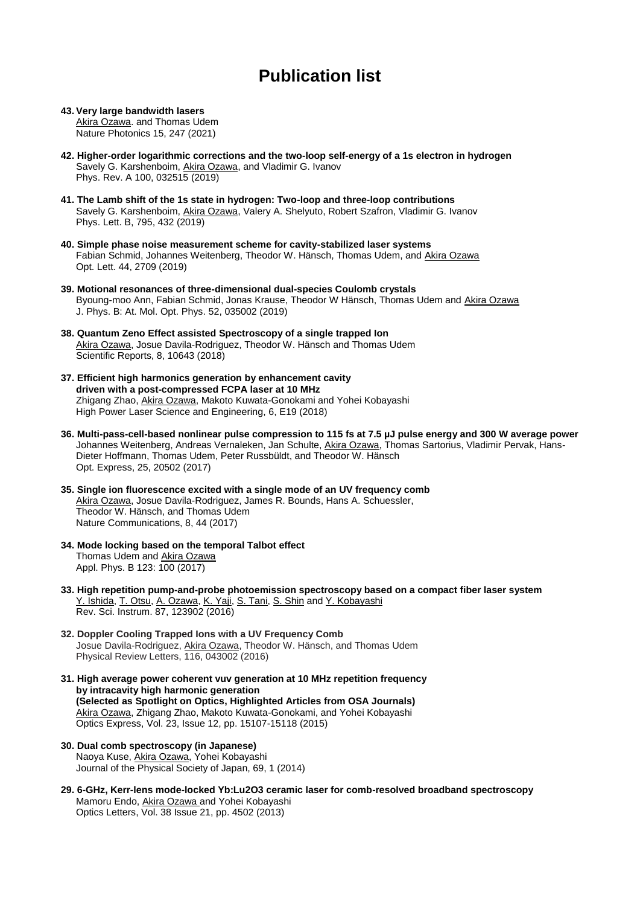# **Publication list**

**43. Very large bandwidth lasers** Akira Ozawa. and Thomas Udem Nature Photonics 15, 247 (2021)

- **42. Higher-order logarithmic corrections and the two-loop self-energy of a 1s electron in hydrogen** Savely G. Karshenboim, Akira Ozawa, and Vladimir G. Ivanov Phys. Rev. A 100, 032515 (2019)
- **41. The Lamb shift of the 1s state in hydrogen: Two-loop and three-loop contributions** Savely G. Karshenboim, Akira Ozawa, Valery A. Shelyuto, Robert Szafron, Vladimir G. Ivanov Phys. Lett. B, 795, 432 (2019)
- **40. Simple phase noise measurement scheme for cavity-stabilized laser systems** Fabian Schmid, Johannes Weitenberg, Theodor W. Hänsch, Thomas Udem, and Akira Ozawa Opt. Lett. 44, 2709 (2019)
- **39. Motional resonances of three-dimensional dual-species Coulomb crystals** Byoung-moo Ann, Fabian Schmid, Jonas Krause, Theodor W Hänsch, Thomas Udem and Akira Ozawa J. Phys. B: At. Mol. Opt. Phys. 52, 035002 (2019)
- **38. Quantum Zeno Effect assisted Spectroscopy of a single trapped Ion** Akira Ozawa, Josue Davila-Rodriguez, Theodor W. Hänsch and Thomas Udem Scientific Reports, 8, 10643 (2018)
- **37. Efficient high harmonics generation by enhancement cavity driven with a post-compressed FCPA laser at 10 MHz** Zhigang Zhao, Akira Ozawa, Makoto Kuwata-Gonokami and Yohei Kobayashi High Power Laser Science and Engineering, 6, E19 (2018)
- **36. Multi-pass-cell-based nonlinear pulse compression to 115 fs at 7.5 µJ pulse energy and 300 W average power** Johannes Weitenberg, Andreas Vernaleken, Jan Schulte, Akira Ozawa, Thomas Sartorius, Vladimir Pervak, Hans-Dieter Hoffmann, Thomas Udem, Peter Russbüldt, and Theodor W. Hänsch Opt. Express, 25, 20502 (2017)
- **35. Single ion fluorescence excited with a single mode of an UV frequency comb** Akira Ozawa, Josue Davila-Rodriguez, James R. Bounds, Hans A. Schuessler, Theodor W. Hänsch, and Thomas Udem Nature Communications, 8, 44 (2017)
- **34. Mode locking based on the temporal Talbot effect** Thomas Udem and Akira Ozawa Appl. Phys. B 123: 100 (2017)
- **33. High repetition pump-and-probe photoemission spectroscopy based on a compact fiber laser system** [Y. Ishida, T. Otsu, A. Ozawa, K. Yaji, S. Tani, S. Shin](about:blank) and [Y. Kobayashi](about:blank) Rev. Sci. Instrum. 87, 123902 (2016)
- **32. Doppler Cooling Trapped Ions with a UV Frequency Comb** Josue Davila-Rodriguez, Akira Ozawa, Theodor W. Hänsch, and Thomas Udem Physical Review Letters, 116, 043002 (2016)
- **31. High average power coherent vuv generation at 10 MHz repetition frequency by intracavity high harmonic generation (Selected as Spotlight on Optics, Highlighted Articles from OSA Journals)** Akira Ozawa, Zhigang Zhao, Makoto Kuwata-Gonokami, and Yohei Kobayashi Optics Express, Vol. 23, Issue 12, pp. 15107-15118 (2015)
- **30. Dual comb spectroscopy (in Japanese)** Naoya Kuse, Akira Ozawa, Yohei Kobayashi Journal of the Physical Society of Japan, 69, 1 (2014)
- **29. 6-GHz, Kerr-lens mode-locked Yb:Lu2O3 ceramic laser for comb-resolved broadband spectroscopy** Mamoru Endo, Akira Ozawa and Yohei Kobayashi Optics Letters, Vol. 38 Issue 21, pp. 4502 (2013)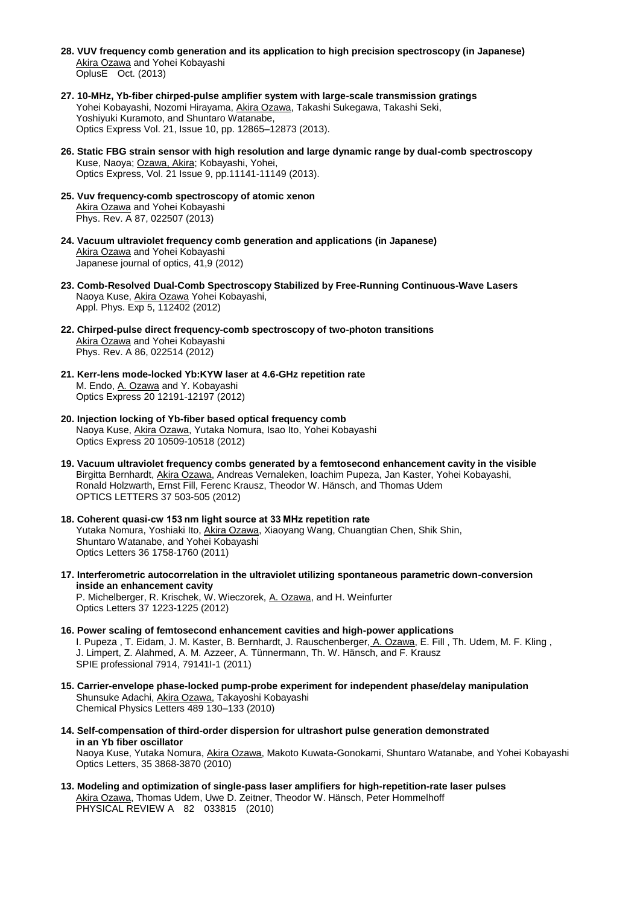- **28. VUV frequency comb generation and its application to high precision spectroscopy (in Japanese)** Akira Ozawa and Yohei Kobayashi OplusE Oct. (2013)
- **27. 10-MHz, Yb-fiber chirped-pulse amplifier system with large-scale transmission gratings** Yohei Kobayashi, Nozomi Hirayama, Akira Ozawa, Takashi Sukegawa, Takashi Seki, Yoshiyuki Kuramoto, and Shuntaro Watanabe, Optics Express Vol. 21, Issue 10, pp. 12865–12873 (2013).
- **26. Static FBG strain sensor with high resolution and large dynamic range by dual-comb spectroscopy** Kuse, Naoya; Ozawa, Akira; Kobayashi, Yohei, Optics Express, Vol. 21 Issue 9, pp.11141-11149 (2013).
- **25. Vuv frequency-comb spectroscopy of atomic xenon** Akira Ozawa and Yohei Kobayashi Phys. Rev. A 87, 022507 (2013)
- **24. Vacuum ultraviolet frequency comb generation and applications (in Japanese)** Akira Ozawa and Yohei Kobayashi Japanese journal of optics, 41,9 (2012)
- **23. Comb-Resolved Dual-Comb Spectroscopy Stabilized by Free-Running Continuous-Wave Lasers** Naoya Kuse, Akira Ozawa Yohei Kobayashi, Appl. Phys. Exp 5, 112402 (2012)
- **22. Chirped-pulse direct frequency-comb spectroscopy of two-photon transitions** Akira Ozawa and Yohei Kobayashi Phys. Rev. A 86, 022514 (2012)
- **21. Kerr-lens mode-locked Yb:KYW laser at 4.6-GHz repetition rate**  M. Endo, A. Ozawa and Y. Kobayashi Optics Express 20 12191-12197 (2012)
- **20. Injection locking of Yb-fiber based optical frequency comb**  Naoya Kuse, Akira Ozawa, Yutaka Nomura, Isao Ito, Yohei Kobayashi Optics Express 20 10509-10518 (2012)
- **19. Vacuum ultraviolet frequency combs generated by a femtosecond enhancement cavity in the visible**  Birgitta Bernhardt, Akira Ozawa, Andreas Vernaleken, Ioachim Pupeza, Jan Kaster, Yohei Kobayashi, Ronald Holzwarth, Ernst Fill, Ferenc Krausz, Theodor W. Hänsch, and Thomas Udem OPTICS LETTERS 37 503-505 (2012)
- **18. Coherent quasi-cw 153 nm light source at 33 MHz repetition rate** Yutaka Nomura, Yoshiaki Ito, Akira Ozawa, Xiaoyang Wang, Chuangtian Chen, Shik Shin, Shuntaro Watanabe, and Yohei Kobayashi Optics Letters 36 1758-1760 (2011)
- **17. Interferometric autocorrelation in the ultraviolet utilizing spontaneous parametric down-conversion inside an enhancement cavity** P. Michelberger, R. Krischek, W. Wieczorek, A. Ozawa, and H. Weinfurter

Optics Letters 37 1223-1225 (2012)

- **16. Power scaling of femtosecond enhancement cavities and high-power applications** I. Pupeza, T. Eidam, J. M. Kaster, B. Bernhardt, J. Rauschenberger, A. Ozawa, E. Fill, Th. Udem, M. F. Kling, J. Limpert, Z. Alahmed, A. M. Azzeer, A. Tünnermann, Th. W. Hänsch, and F. Krausz SPIE professional 7914, 79141I-1 (2011)
- **15. Carrier-envelope phase-locked pump-probe experiment for independent phase/delay manipulation** Shunsuke Adachi, Akira Ozawa, Takayoshi Kobayashi Chemical Physics Letters 489 130–133 (2010)
- **14. Self-compensation of third-order dispersion for ultrashort pulse generation demonstrated in an Yb fiber oscillator** Naoya Kuse, Yutaka Nomura, Akira Ozawa, Makoto Kuwata-Gonokami, Shuntaro Watanabe, and Yohei Kobayashi Optics Letters, 35 3868-3870 (2010)
- **13. Modeling and optimization of single-pass laser amplifiers for high-repetition-rate laser pulses**  Akira Ozawa, Thomas Udem, Uwe D. Zeitner, Theodor W. Hänsch, Peter Hommelhoff PHYSICAL REVIEW A 82 033815 (2010)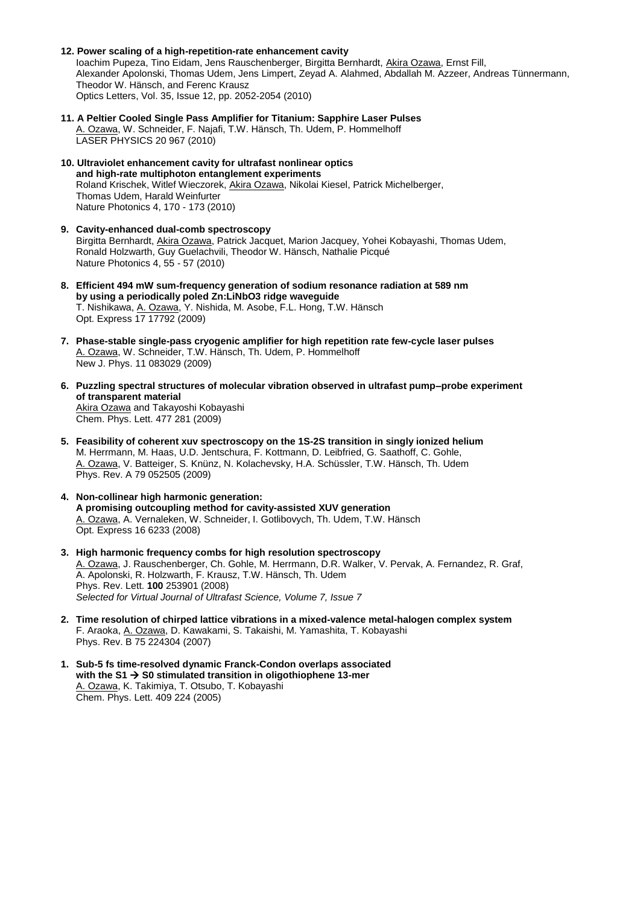- **12. Power scaling of a high-repetition-rate enhancement cavity** Ioachim Pupeza, Tino Eidam, Jens Rauschenberger, Birgitta Bernhardt, Akira Ozawa, Ernst Fill, Alexander Apolonski, Thomas Udem, Jens Limpert, Zeyad A. Alahmed, Abdallah M. Azzeer, Andreas Tünnermann, Theodor W. Hänsch, and Ferenc Krausz Optics Letters, Vol. 35, Issue 12, pp. 2052-2054 (2010)
- **11. A Peltier Cooled Single Pass Amplifier for Titanium: Sapphire Laser Pulses**  A. Ozawa, W. Schneider, F. Najafi, T.W. Hänsch, Th. Udem, P. Hommelhoff LASER PHYSICS 20 967 (2010)
- **10. Ultraviolet enhancement cavity for ultrafast nonlinear optics and high-rate multiphoton entanglement experiments**  Roland Krischek, Witlef Wieczorek, Akira Ozawa, Nikolai Kiesel, Patrick Michelberger, Thomas Udem, Harald Weinfurter Nature Photonics 4, 170 - 173 (2010)
- **9. Cavity-enhanced dual-comb spectroscopy** Birgitta Bernhardt, Akira Ozawa, Patrick Jacquet, Marion Jacquey, Yohei Kobayashi, Thomas Udem, Ronald Holzwarth, Guy Guelachvili, Theodor W. Hänsch, Nathalie Picqué Nature Photonics 4, 55 - 57 (2010)
- **8. Efficient 494 mW sum-frequency generation of sodium resonance radiation at 589 nm by using a periodically poled Zn:LiNbO3 ridge waveguide** T. Nishikawa, A. Ozawa, Y. Nishida, M. Asobe, F.L. Hong, T.W. Hänsch Opt. Express 17 17792 (2009)
- **7. Phase-stable single-pass cryogenic amplifier for high repetition rate few-cycle laser pulses** A. Ozawa, W. Schneider, T.W. Hänsch, Th. Udem, P. Hommelhoff New J. Phys. 11 083029 (2009)
- **6. Puzzling spectral structures of molecular vibration observed in ultrafast pump–probe experiment of transparent material** Akira Ozawa and Takayoshi Kobayashi Chem. Phys. Lett. 477 281 (2009)
- **5. Feasibility of coherent xuv spectroscopy on the 1S-2S transition in singly ionized helium** M. Herrmann, M. Haas, U.D. Jentschura, F. Kottmann, D. Leibfried, G. Saathoff, C. Gohle, A. Ozawa, V. Batteiger, S. Knünz, N. Kolachevsky, H.A. Schüssler, T.W. Hänsch, Th. Udem Phys. Rev. A 79 052505 (2009)
- **4. Non-collinear high harmonic generation: A promising outcoupling method for cavity-assisted XUV generation** A. Ozawa, A. Vernaleken, W. Schneider, I. Gotlibovych, Th. Udem, T.W. Hänsch Opt. Express 16 6233 (2008)
- **3. High harmonic frequency combs for high resolution spectroscopy** A. Ozawa, J. Rauschenberger, Ch. Gohle, M. Herrmann, D.R. Walker, V. Pervak, A. Fernandez, R. Graf, A. Apolonski, R. Holzwarth, F. Krausz, T.W. Hänsch, Th. Udem Phys. Rev. Lett. **100** 253901 (2008) *Selected for Virtual Journal of Ultrafast Science, Volume 7, Issue 7*
- **2. Time resolution of chirped lattice vibrations in a mixed-valence metal-halogen complex system** F. Araoka, A. Ozawa, D. Kawakami, S. Takaishi, M. Yamashita, T. Kobayashi Phys. Rev. B 75 224304 (2007)
- **1. Sub-5 fs time-resolved dynamic Franck-Condon overlaps associated with the S1** → **S0 stimulated transition in oligothiophene 13-mer** A. Ozawa, K. Takimiya, T. Otsubo, T. Kobayashi Chem. Phys. Lett. 409 224 (2005)